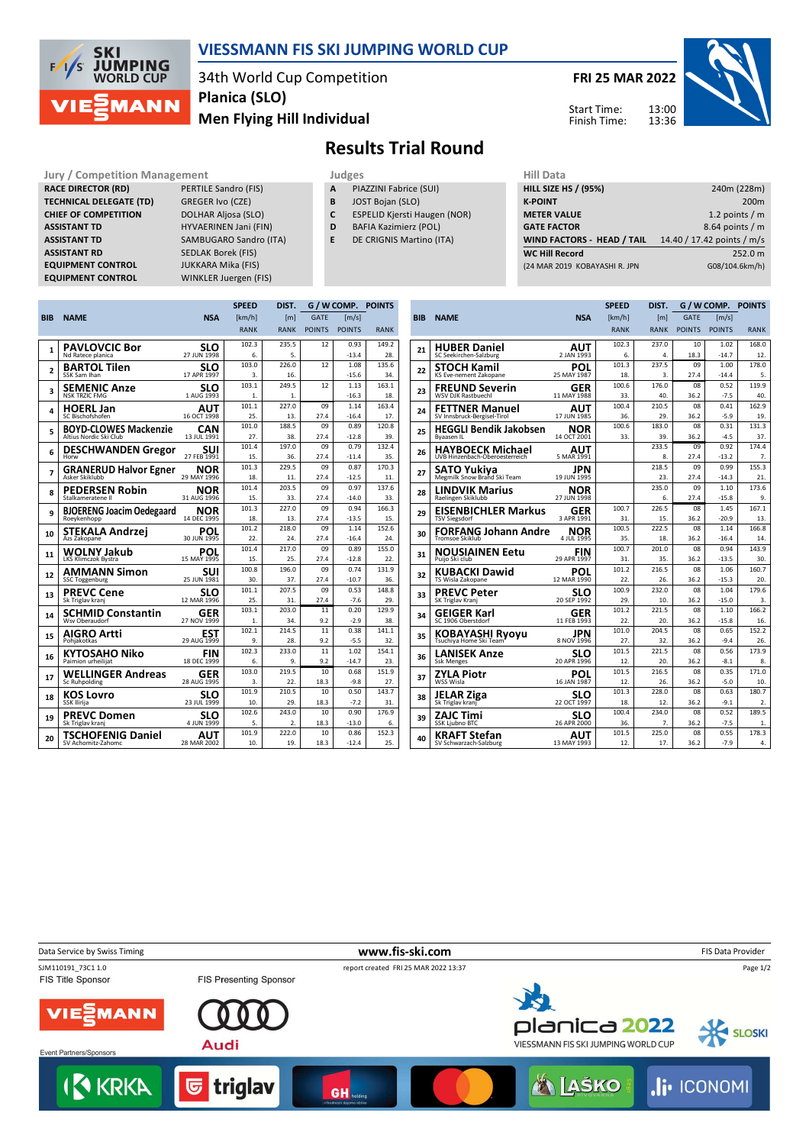

## **VIESSMANN FIS SKI JUMPING WORLD CUP**

34th World Cup Competition **Men Flying Hill Individual Planica (SLO)**

**FRI 25 MAR 2022** 13:00 13:36 Start Time: Finish Time:

## **Results Trial Round**

**RACE DIRECTOR (RD)** PERTILE Sandro (FIS) **TECHNICAL DELEGATE (TD)** GREGER Ivo (CZE) **CHIEF OF COMPETITION** DOLHAR Aljosa (SLO) **ASSISTANT RD** SEDLAK Borek (FIS) **EQUIPMENT CONTROL** JUKKARA Mika (FIS)

**Jury / Competition Management development development of the Judges of American Hill Data ASSISTANT TD** HYVAERINEN Jani (FIN) **ASSISTANT TD** SAMBUGARO Sandro (ITA) **EQUIPMENT CONTROL** WINKLER Juergen (FIS)

- **A** PIAZZINI Fabrice (SUI)
- **B** JOST Bojan (SLO)
- **C** ESPELID Kjersti Haugen (NOR)
- **D** BAFIA Kazimierz (POL)
- **E** DE CRIGNIS Martino (ITA)

| 11111 <i>Data</i>                 |                            |
|-----------------------------------|----------------------------|
| <b>HILL SIZE HS / (95%)</b>       | 240m (228m)                |
| <b>K-POINT</b>                    | 200 <sub>m</sub>           |
| <b>METER VALUE</b>                | 1.2 points $/m$            |
| <b>GATE FACTOR</b>                | 8.64 points $/m$           |
| <b>WIND FACTORS - HEAD / TAIL</b> | 14.40 / 17.42 points / m/s |
| <b>WC Hill Record</b>             | 252.0 m                    |
| (24 MAR 2019 KOBAYASHI R. JPN     | G08/104.6km/h)             |
|                                   |                            |

|                |                                                        |                           | <b>SPEED</b>   | DIST.        |               | G / W COMP. POINTS  |              |
|----------------|--------------------------------------------------------|---------------------------|----------------|--------------|---------------|---------------------|--------------|
| <b>BIB</b>     | <b>NAME</b>                                            | <b>NSA</b>                | [km/h]         | [m]          | <b>GATE</b>   | $\lceil m/s \rceil$ |              |
|                |                                                        |                           | <b>RANK</b>    | <b>RANK</b>  | <b>POINTS</b> | <b>POINTS</b>       | <b>RANK</b>  |
|                | <b>PAVLOVCIC Bor</b>                                   | <b>SLO</b>                | 102.3          | 235.5        | 12            | 0.93                | 149.2        |
| 1              | Nd Ratece planica                                      | 27 JUN 1998               | 6.             | 5.           |               | $-13.4$             | 28.          |
| $\overline{a}$ | <b>BARTOL Tilen</b>                                    | SLO                       | 103.0          | 226.0        | 12            | 1.08                | 135.6        |
|                | SSK Sam Ihan                                           | 17 APR 1997               | 3.             | 16.          |               | $-15.6$             | 34.          |
| 3              | <b>SEMENIC Anze</b>                                    | <b>SLO</b>                | 103.1          | 249.5        | 12            | 1.13                | 163.1        |
|                | <b>NSK TRZIC FMG</b>                                   | 1 AUG 1993                | 1.             | 1.           |               | $-16.3$             | 18.          |
| 4              | <b>HOERL Jan</b>                                       | AUT                       | 101.1          | 227.0        | 09            | 1.14                | 163.4        |
|                | SC Bischofshofen                                       | 16 OCT 1998               | 25.<br>101.0   | 13.<br>188.5 | 27.4<br>09    | $-16.4$<br>0.89     | 17.<br>120.8 |
| 5              | <b>BOYD-CLOWES Mackenzie</b><br>Altius Nordic Ski Club | <b>CAN</b><br>13 JUL 1991 | 27.            | 38.          | 27.4          | $-12.8$             | 39.          |
|                |                                                        |                           | 101.4          | 197.0        | 09            | 0.79                | 132.4        |
| 6              | <b>DESCHWANDEN Gregor</b><br>Horw                      | suı<br>27 FEB 1991        | 15.            | 36.          | 27.4          | $-11.4$             | 35.          |
|                |                                                        | <b>NOR</b>                | 101.3          | 229.5        | 09            | 0.87                | 170.3        |
| 7              | <b>GRANERUD Halvor Egner</b><br>Asker Skiklubb         | 29 MAY 1996               | 18.            | 11.          | 27.4          | $-12.5$             | 11.          |
|                | <b>PEDERSEN Robin</b>                                  | <b>NOR</b>                | 101.4          | 203.5        | 09            | 0.97                | 137.6        |
| 8              | Stalkameratene II                                      | 31 AUG 1996               | 15.            | 33.          | 27.4          | $-14.0$             | 33.          |
| q              | <b>BJOERENG Joacim Oedegaard</b>                       | <b>NOR</b>                | 101.3          | 227.0        | 09            | 0.94                | 166.3        |
|                | Roeykenhopp                                            | 14 DEC 1995               | 18.            | 13.          | 27.4          | $-13.5$             | 15.          |
| 10             | STEKALA Andrzei                                        | POL                       | 101.2          | 218.0        | 09            | 1.14                | 152.6        |
|                | Azs Zakopane                                           | 30 JUN 1995               | 22.            | 24.          | 27.4          | $-16.4$             | 24.          |
| 11             | WOLNY Jakub                                            | POL                       | 101.4          | 217.0        | 09            | 0.89                | 155.0        |
|                | LKS Klimczok Bystra                                    | 15 MAY 1995               | 15.<br>100.8   | 25.<br>196.0 | 27.4<br>09    | $-12.8$<br>0.74     | 22.<br>131.9 |
| 12             | <b>AMMANN Simon</b><br><b>SSC Toggenburg</b>           | <b>SUI</b><br>25 JUN 1981 | 30.            | 37.          | 27.4          | $-10.7$             | 36.          |
|                |                                                        |                           | 101.1          | 207.5        | 09            | 0.53                | 148.8        |
| 13             | <b>PREVC Cene</b><br>Sk Triglav kranj                  | SLO<br>12 MAR 1996        | 25.            | 31.          | 27.4          | $-7.6$              | 29.          |
|                | <b>SCHMID Constantin</b>                               | GER                       | 103.1          | 203.0        | 11            | 0.20                | 129.9        |
| 14             | Wsy Oberaudorf                                         | 27 NOV 1999               | $\mathbf{1}$ . | 34.          | 9.2           | $-2.9$              | 38.          |
|                | AIGRO Artti                                            | <b>EST</b>                | 102.1          | 214.5        | 11            | 0.38                | 141.1        |
| 15             | Pohiakotkas                                            | 29 AUG 1999               | 9.             | 28.          | 9.2           | $-5.5$              | 32.          |
| 16             | <b>KYTOSAHO Niko</b>                                   | <b>FIN</b>                | 102.3          | 233.0        | 11            | 1.02                | 154.1        |
|                | Paimion urheilijat                                     | 18 DEC 1999               | 6.             | 9.           | 9.2           | $-14.7$             | 23.          |
| 17             | <b>WELLINGER Andreas</b>                               | <b>GER</b>                | 103.0          | 219.5        | 10            | 0.68                | 151.9        |
|                | Sc Ruhpolding                                          | 28 AUG 1995               | 3.             | 22.          | 18.3          | $-9.8$              | 27.          |
| 18             | <b>KOS Lovro</b>                                       | SLO<br>23 JUL 1999        | 101.9          | 210.5        | 10            | 0.50                | 143.7        |
|                | <b>SSK Ilirija</b>                                     |                           | 10.<br>102.6   | 29.<br>243.0 | 18.3<br>10    | $-7.2$<br>0.90      | 31.<br>176.9 |
| 19             | <b>PREVC Domen</b><br>Sk Triglav kranj                 | SLO<br>4 JUN 1999         | 5.             | 2.           | 18.3          | $-13.0$             | 6.           |
|                |                                                        |                           | 101.9          | 222.0        | 10            | 0.86                | 152.3        |
| 20             | <b>TSCHOFENIG Daniel</b><br>SV Achomitz-Zahomc         | AUT<br>28 MAR 2002        | 10.            | 19.          | 18.3          | $-12.4$             | 25.          |
|                |                                                        |                           |                |              |               |                     |              |

|            |                                                    |                           | <b>SPEED</b> | DIST.        | G / W COMP.   |                 | <b>POINTS</b>    |
|------------|----------------------------------------------------|---------------------------|--------------|--------------|---------------|-----------------|------------------|
| <b>BIB</b> | <b>NAME</b>                                        | <b>NSA</b>                | [km/h]       | [m]          | <b>GATE</b>   | [m/s]           |                  |
|            |                                                    |                           | <b>RANK</b>  | <b>RANK</b>  | <b>POINTS</b> | <b>POINTS</b>   | <b>RANK</b>      |
|            | <b>HUBER Daniel</b>                                | AUT                       | 102.3        | 237.0        | $10^{1}$      | 1.02            | 168.0            |
| 21         | SC Seekirchen-Salzburg                             | 2 JAN 1993                | 6.           | 4.           | 18.3          | $-14.7$         | 12.              |
| 22         | <b>STOCH Kamil</b>                                 | POL                       | 101.3        | 237.5        | 09            | 1.00            | 178.0            |
|            | KS Eve-nement Zakopane                             | 25 MAY 1987               | 18.          | 3.           | 27.4          | $-14.4$         | 5.               |
| 23         | <b>FREUND Severin</b><br><b>WSV DJK Rastbuechl</b> | GER<br>11 MAY 1988        | 100.6<br>33. | 176.0<br>40. | 08<br>36.2    | 0.52<br>$-7.5$  | 119.9<br>40.     |
|            | <b>FETTNER Manuel</b>                              | <b>AUT</b>                | 100.4        | 210.5        | 08            | 0.41            | 162.9            |
| 24         | SV Innsbruck-Bergisel-Tirol                        | 17 JUN 1985               | 36.          | 29.          | 36.2          | $-5.9$          | 19.              |
| 25         | <b>HEGGLI Bendik Jakobsen</b>                      | NOR                       | 100.6        | 183.0        | 08            | 0.31            | 131.3            |
|            | Byaasen IL                                         | 14 OCT 2001               | 33.          | 39.          | 36.2          | $-4.5$          | 37.              |
| 26         | <b>HAYBOECK Michael</b>                            | AUT                       |              | 233.5        | 09            | 0.92            | 174.4            |
|            | UVB Hinzenbach-Oberoesterreich                     | 5 MAR 1991                |              | 8.           | 27.4          | $-13.2$         | 7.               |
| 27         | SATO Yukiya                                        | JPN                       |              | 218.5        | 09            | 0.99            | 155.3            |
|            | Megmilk Snow Brand Ski Team                        | 19 JUN 1995               |              | 23.          | 27.4          | $-14.3$         | 21.              |
| 28         | <b>LINDVIK Marius</b><br>Raelingen Skiklubb        | NOR<br>27 JUN 1998        |              | 235.0<br>6.  | 09<br>27.4    | 1.10<br>$-15.8$ | 173.6<br>9.      |
|            | <b>EISENBICHLER Markus</b>                         | GER                       | 100.7        | 226.5        | 08            | 1.45            | 167.1            |
| 29         | <b>TSV Siegsdorf</b>                               | 3 APR 1991                | 31.          | 15.          | 36.2          | $-20.9$         | 13.              |
| 30         | <b>FORFANG Johann Andre</b>                        | NOR                       | 100.5        | 222.5        | 08            | 1.14            | 166.8            |
|            | <b>Tromsoe Skiklub</b>                             | 4 JUL 1995                | 35.          | 18.          | 36.2          | $-16.4$         | 14.              |
| 31         | <b>NOUSIAINEN Eetu</b>                             | FIN                       | 100.7        | 201.0        | 08            | 0.94            | 143.9            |
|            | Puijo Ski club                                     | 29 APR 1997               | 31.          | 35.          | 36.2          | $-13.5$         | 30.              |
| 32         | KUBACKI Dawid                                      | POL<br>12 MAR 1990        | 101.2        | 216.5        | 08            | 1.06<br>$-15.3$ | 160.7            |
|            | TS Wisla Zakopane                                  |                           | 22.<br>100.9 | 26.<br>232.0 | 36.2<br>08    | 1.04            | 20.<br>179.6     |
| 33         | <b>PREVC Peter</b><br>SK Triglav Kranj             | SLO<br>20 SEP 1992        | 29.          | 10.          | 36.2          | $-15.0$         | 3.               |
|            | GEIGER Karl                                        | GER                       | 101.2        | 221.5        | 08            | 1.10            | 166.2            |
| 34         | SC 1906 Oberstdorf                                 | 11 FEB 1993               | 22.          | 20.          | 36.2          | $-15.8$         | 16.              |
| 35         | <b>KOBAYASHI Ryoyu</b>                             | JPN                       | 101.0        | 204.5        | 08            | 0.65            | 152.2            |
|            | Tsuchiya Home Ski Team                             | 8 NOV 1996                | 27.          | 32.          | 36.2          | $-9.4$          | 26.              |
| 36         | <b>LANISEK Anze</b>                                | SLO                       | 101.5        | 221.5        | 08            | 0.56            | 173.9            |
|            | Ssk Menges                                         | 20 APR 1996               | 12.          | 20.          | 36.2          | $-8.1$          | 8.               |
| 37         | ZYLA Piotr<br>WSS Wisla                            | POL<br>16 JAN 1987        | 101.5<br>12. | 216.5<br>26. | 08<br>36.2    | 0.35<br>$-5.0$  | 171.0<br>10.     |
|            |                                                    |                           | 101.3        | 228.0        | 08            | 0.63            | 180.7            |
| 38         | JELAR Ziga<br>Sk Triglav kranj                     | SLO<br>22 OCT 1997        | 18.          | 12.          | 36.2          | $-9.1$          | $\overline{2}$ . |
|            | ZAJC Timi                                          |                           | 100.4        | 234.0        | 08            | 0.52            | 189.5            |
| 39         | <b>SSK Ljubno BTC</b>                              | <b>SLO</b><br>26 APR 2000 | 36.          | 7.           | 36.2          | $-7.5$          | 1.               |
| 40         | KRAFT Stefan                                       | AUT<br>13 MAY 1993        | 101.5<br>12. | 225.0<br>17. | 08<br>36.2    | 0.55<br>$-7.9$  | 178.3<br>4.      |
|            | SV Schwarzach-Salzburg                             |                           |              |              |               |                 |                  |